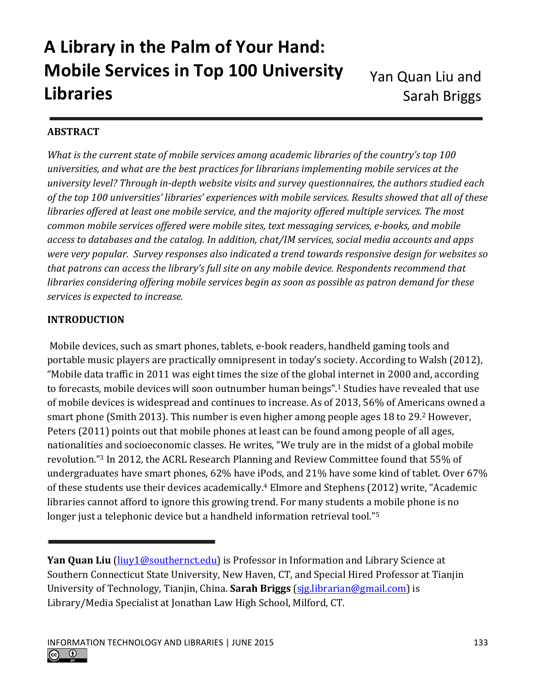# **A Library in the Palm of Your Hand: Mobile Services in Top 100 University Libraries**

## **ABSTRACT**

*What is the current state of mobile services among academic libraries of the country's top 100* universities, and what are the best practices for librarians implementing mobile services at the university level? Through in-depth website visits and survey questionnaires, the authors studied each of the top 100 universities' libraries' experiences with mobile services. Results showed that all of these *libraries offered at least one mobile service, and the majority offered multiple services. The most common mobile services offered were mobile sites, text messaging services, e-books, and mobile* access to databases and the catalog. In addition, chat/IM services, social media accounts and apps *were* very popular. Survey responses also indicated a trend towards responsive design for websites so that patrons can access the library's full site on any mobile device. Respondents recommend that *libraries considering offering mobile services begin as soon as possible as patron demand for these services is expected to increase.* 

#### **INTRODUCTION**

Mobile devices, such as smart phones, tablets, e-book readers, handheld gaming tools and portable music players are practically omnipresent in today's society. According to Walsh (2012), "Mobile data traffic in 2011 was eight times the size of the global internet in 2000 and, according to forecasts, mobile devices will soon outnumber human beings".<sup>1</sup> Studies have revealed that use of mobile devices is widespread and continues to increase. As of 2013, 56% of Americans owned a smart phone (Smith 2013). This number is even higher among people ages 18 to 29.<sup>2</sup> However, Peters (2011) points out that mobile phones at least can be found among people of all ages, nationalities and socioeconomic classes. He writes, "We truly are in the midst of a global mobile revolution."<sup>3</sup> In 2012, the ACRL Research Planning and Review Committee found that 55% of undergraduates have smart phones,  $62\%$  have iPods, and  $21\%$  have some kind of tablet. Over  $67\%$ of these students use their devices academically.<sup>4</sup> Elmore and Stephens (2012) write, "Academic libraries cannot afford to ignore this growing trend. For many students a mobile phone is no longer just a telephonic device but a handheld information retrieval tool."<sup>5</sup>

**Yan Quan Liu** (liuy1@southernct.edu) is Professor in Information and Library Science at Southern Connecticut State University, New Haven, CT, and Special Hired Professor at Tianjin University of Technology, Tianjin, China. Sarah Briggs (sig.librarian@gmail.com) is Library/Media Specialist at Jonathan Law High School, Milford, CT.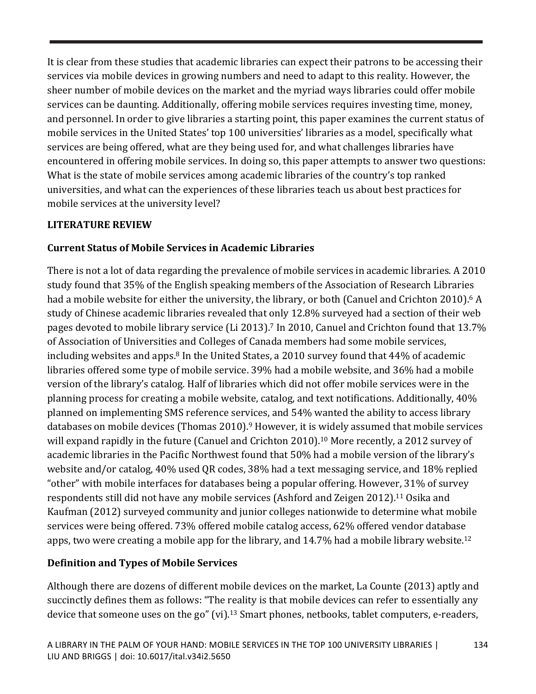It is clear from these studies that academic libraries can expect their patrons to be accessing their services via mobile devices in growing numbers and need to adapt to this reality. However, the sheer number of mobile devices on the market and the myriad ways libraries could offer mobile services can be daunting. Additionally, offering mobile services requires investing time, money, and personnel. In order to give libraries a starting point, this paper examines the current status of mobile services in the United States' top 100 universities' libraries as a model, specifically what services are being offered, what are they being used for, and what challenges libraries have encountered in offering mobile services. In doing so, this paper attempts to answer two questions: What is the state of mobile services among academic libraries of the country's top ranked universities, and what can the experiences of these libraries teach us about best practices for mobile services at the university level?

## **LITERATURE REVIEW**

#### **Current Status of Mobile Services in Academic Libraries**

There is not a lot of data regarding the prevalence of mobile services in academic libraries. A 2010 study found that 35% of the English speaking members of the Association of Research Libraries had a mobile website for either the university, the library, or both (Canuel and Crichton 2010).<sup>6</sup> A study of Chinese academic libraries revealed that only 12.8% surveyed had a section of their web pages devoted to mobile library service (Li 2013).<sup>7</sup> In 2010, Canuel and Crichton found that 13.7% of Association of Universities and Colleges of Canada members had some mobile services, including websites and apps.<sup>8</sup> In the United States, a 2010 survey found that  $44%$  of academic libraries offered some type of mobile service. 39% had a mobile website, and 36% had a mobile version of the library's catalog. Half of libraries which did not offer mobile services were in the planning process for creating a mobile website, catalog, and text notifications. Additionally, 40% planned on implementing SMS reference services, and 54% wanted the ability to access library databases on mobile devices (Thomas 2010).<sup>9</sup> However, it is widely assumed that mobile services will expand rapidly in the future (Canuel and Crichton 2010).<sup>10</sup> More recently, a 2012 survey of academic libraries in the Pacific Northwest found that 50% had a mobile version of the library's website and/or catalog, 40% used QR codes, 38% had a text messaging service, and 18% replied "other" with mobile interfaces for databases being a popular offering. However,  $31\%$  of survey respondents still did not have any mobile services (Ashford and Zeigen 2012).<sup>11</sup> Osika and Kaufman (2012) surveyed community and junior colleges nationwide to determine what mobile services were being offered. 73% offered mobile catalog access, 62% offered vendor database apps, two were creating a mobile app for the library, and 14.7% had a mobile library website.<sup>12</sup>

# **Definition and Types of Mobile Services**

Although there are dozens of different mobile devices on the market, La Counte (2013) aptly and succinctly defines them as follows: "The reality is that mobile devices can refer to essentially any device that someone uses on the go" (vi).<sup>13</sup> Smart phones, netbooks, tablet computers, e-readers,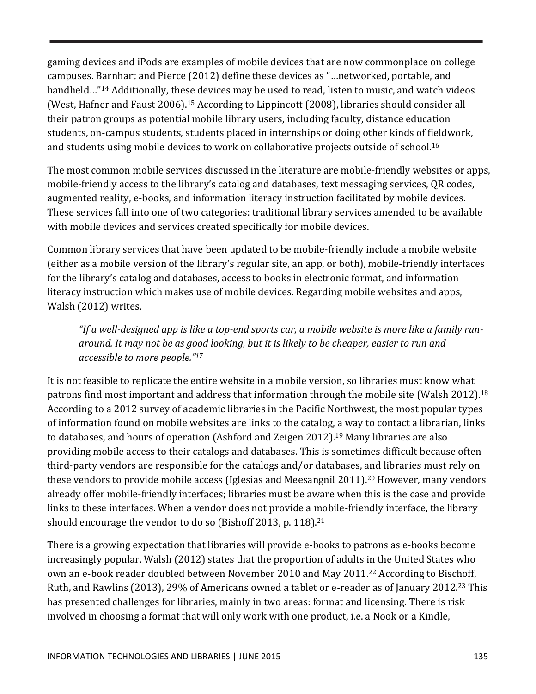gaming devices and iPods are examples of mobile devices that are now commonplace on college campuses. Barnhart and Pierce (2012) define these devices as "...networked, portable, and handheld…"<sup>14</sup> Additionally, these devices may be used to read, listen to music, and watch videos (West, Hafner and Faust 2006).<sup>15</sup> According to Lippincott (2008), libraries should consider all their patron groups as potential mobile library users, including faculty, distance education students, on-campus students, students placed in internships or doing other kinds of fieldwork, and students using mobile devices to work on collaborative projects outside of school.<sup>16</sup>

The most common mobile services discussed in the literature are mobile-friendly websites or apps, mobile-friendly access to the library's catalog and databases, text messaging services, OR codes, augmented reality, e-books, and information literacy instruction facilitated by mobile devices. These services fall into one of two categories: traditional library services amended to be available with mobile devices and services created specifically for mobile devices.

Common library services that have been updated to be mobile-friendly include a mobile website (either as a mobile version of the library's regular site, an app, or both), mobile-friendly interfaces for the library's catalog and databases, access to books in electronic format, and information literacy instruction which makes use of mobile devices. Regarding mobile websites and apps, Walsh (2012) writes,

"If a well-designed app is like a top-end sports car, a mobile website is more like a family run*around.* It may not be as good looking, but it is likely to be cheaper, easier to run and *accessible to more people."17* 

It is not feasible to replicate the entire website in a mobile version, so libraries must know what patrons find most important and address that information through the mobile site (Walsh 2012).<sup>18</sup> According to a 2012 survey of academic libraries in the Pacific Northwest, the most popular types of information found on mobile websites are links to the catalog, a way to contact a librarian, links to databases, and hours of operation (Ashford and Zeigen 2012).<sup>19</sup> Many libraries are also providing mobile access to their catalogs and databases. This is sometimes difficult because often third-party vendors are responsible for the catalogs and/or databases, and libraries must rely on these vendors to provide mobile access (Iglesias and Meesangnil 2011).<sup>20</sup> However, many vendors already offer mobile-friendly interfaces; libraries must be aware when this is the case and provide links to these interfaces. When a vendor does not provide a mobile-friendly interface, the library should encourage the vendor to do so (Bishoff 2013, p. 118).<sup>21</sup>

There is a growing expectation that libraries will provide e-books to patrons as e-books become increasingly popular. Walsh (2012) states that the proportion of adults in the United States who own an e-book reader doubled between November 2010 and May 2011.<sup>22</sup> According to Bischoff, Ruth, and Rawlins (2013), 29% of Americans owned a tablet or e-reader as of January 2012.<sup>23</sup> This has presented challenges for libraries, mainly in two areas: format and licensing. There is risk involved in choosing a format that will only work with one product, i.e. a Nook or a Kindle,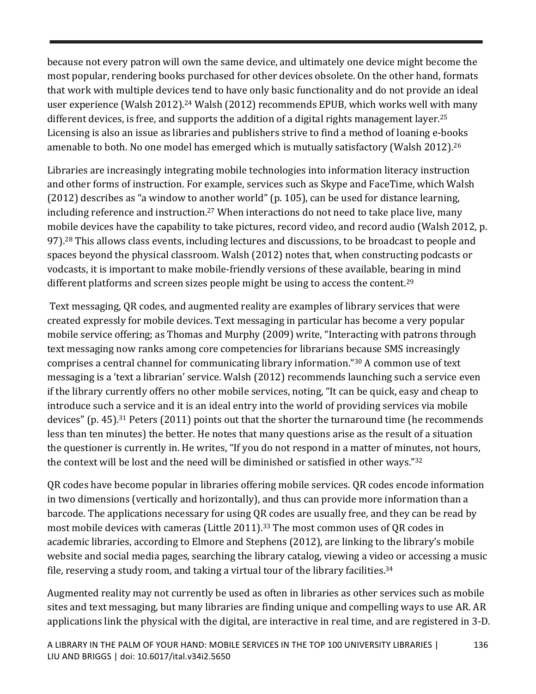because not every patron will own the same device, and ultimately one device might become the most popular, rendering books purchased for other devices obsolete. On the other hand, formats that work with multiple devices tend to have only basic functionality and do not provide an ideal user experience (Walsh 2012).<sup>24</sup> Walsh (2012) recommends EPUB, which works well with many different devices, is free, and supports the addition of a digital rights management layer.<sup>25</sup> Licensing is also an issue as libraries and publishers strive to find a method of loaning e-books amenable to both. No one model has emerged which is mutually satisfactory (Walsh 2012).<sup>26</sup>

Libraries are increasingly integrating mobile technologies into information literacy instruction and other forms of instruction. For example, services such as Skype and FaceTime, which Walsh  $(2012)$  describes as "a window to another world" (p. 105), can be used for distance learning, including reference and instruction.<sup>27</sup> When interactions do not need to take place live, many mobile devices have the capability to take pictures, record video, and record audio (Walsh 2012, p. 97).<sup>28</sup> This allows class events, including lectures and discussions, to be broadcast to people and spaces beyond the physical classroom. Walsh (2012) notes that, when constructing podcasts or vodcasts, it is important to make mobile-friendly versions of these available, bearing in mind different platforms and screen sizes people might be using to access the content.<sup>29</sup>

Text messaging, QR codes, and augmented reality are examples of library services that were created expressly for mobile devices. Text messaging in particular has become a very popular mobile service offering; as Thomas and Murphy (2009) write, "Interacting with patrons through text messaging now ranks among core competencies for librarians because SMS increasingly comprises a central channel for communicating library information." $30$  A common use of text messaging is a 'text a librarian' service. Walsh (2012) recommends launching such a service even if the library currently offers no other mobile services, noting, "It can be quick, easy and cheap to introduce such a service and it is an ideal entry into the world of providing services via mobile devices" (p. 45).<sup>31</sup> Peters (2011) points out that the shorter the turnaround time (he recommends less than ten minutes) the better. He notes that many questions arise as the result of a situation the questioner is currently in. He writes, "If you do not respond in a matter of minutes, not hours, the context will be lost and the need will be diminished or satisfied in other ways."32

QR codes have become popular in libraries offering mobile services. QR codes encode information in two dimensions (vertically and horizontally), and thus can provide more information than a barcode. The applications necessary for using QR codes are usually free, and they can be read by most mobile devices with cameras (Little  $2011$ ).<sup>33</sup> The most common uses of QR codes in academic libraries, according to Elmore and Stephens (2012), are linking to the library's mobile website and social media pages, searching the library catalog, viewing a video or accessing a music file, reserving a study room, and taking a virtual tour of the library facilities.<sup>34</sup>

Augmented reality may not currently be used as often in libraries as other services such as mobile sites and text messaging, but many libraries are finding unique and compelling ways to use AR. AR applications link the physical with the digital, are interactive in real time, and are registered in 3-D.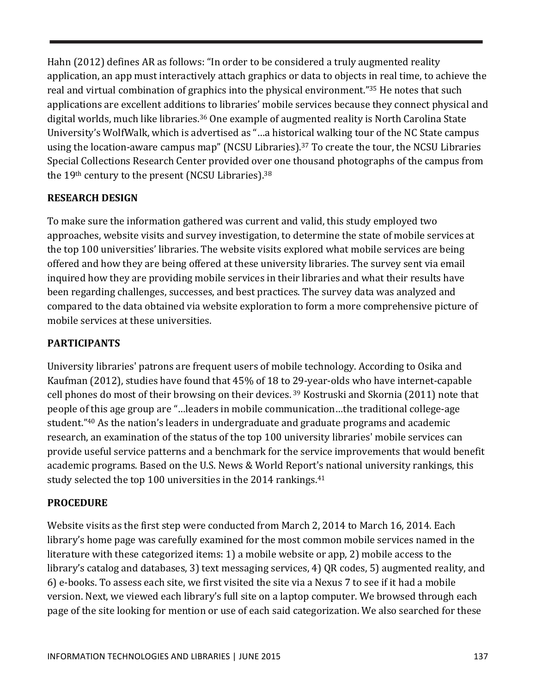Hahn (2012) defines AR as follows: "In order to be considered a truly augmented reality application, an app must interactively attach graphics or data to objects in real time, to achieve the real and virtual combination of graphics into the physical environment."<sup>35</sup> He notes that such applications are excellent additions to libraries' mobile services because they connect physical and digital worlds, much like libraries.<sup>36</sup> One example of augmented reality is North Carolina State University's WolfWalk, which is advertised as "...a historical walking tour of the NC State campus using the location-aware campus map" (NCSU Libraries).<sup>37</sup> To create the tour, the NCSU Libraries Special Collections Research Center provided over one thousand photographs of the campus from the  $19<sup>th</sup>$  century to the present (NCSU Libraries).<sup>38</sup>

## **RESEARCH DESIGN**

To make sure the information gathered was current and valid, this study employed two approaches, website visits and survey investigation, to determine the state of mobile services at the top 100 universities' libraries. The website visits explored what mobile services are being offered and how they are being offered at these university libraries. The survey sent via email inquired how they are providing mobile services in their libraries and what their results have been regarding challenges, successes, and best practices. The survey data was analyzed and compared to the data obtained via website exploration to form a more comprehensive picture of mobile services at these universities.

## **PARTICIPANTS**

University libraries' patrons are frequent users of mobile technology. According to Osika and Kaufman (2012), studies have found that 45% of 18 to 29-year-olds who have internet-capable cell phones do most of their browsing on their devices.<sup>39</sup> Kostruski and Skornia (2011) note that people of this age group are "...leaders in mobile communication...the traditional college-age student."<sup>40</sup> As the nation's leaders in undergraduate and graduate programs and academic research, an examination of the status of the top 100 university libraries' mobile services can provide useful service patterns and a benchmark for the service improvements that would benefit academic programs. Based on the U.S. News & World Report's national university rankings, this study selected the top 100 universities in the 2014 rankings.<sup>41</sup>

#### **PROCEDURE**

Website visits as the first step were conducted from March 2, 2014 to March 16, 2014. Each library's home page was carefully examined for the most common mobile services named in the literature with these categorized items: 1) a mobile website or app, 2) mobile access to the library's catalog and databases, 3) text messaging services, 4) QR codes, 5) augmented reality, and 6) e-books. To assess each site, we first visited the site via a Nexus 7 to see if it had a mobile version. Next, we viewed each library's full site on a laptop computer. We browsed through each page of the site looking for mention or use of each said categorization. We also searched for these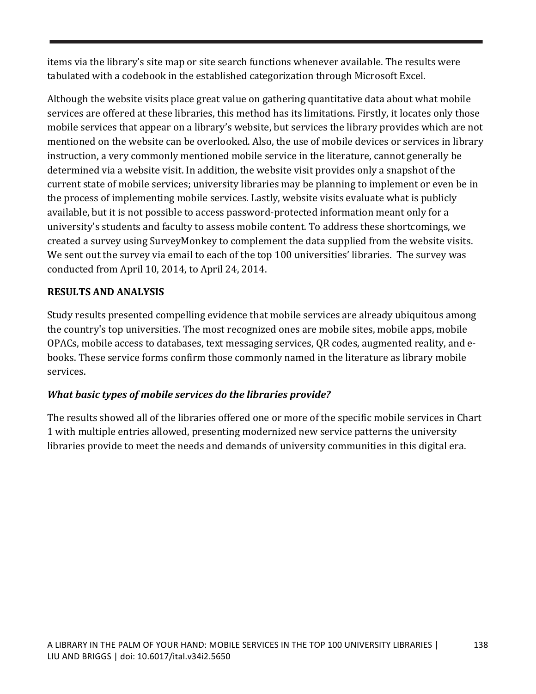items via the library's site map or site search functions whenever available. The results were tabulated with a codebook in the established categorization through Microsoft Excel.

Although the website visits place great value on gathering quantitative data about what mobile services are offered at these libraries, this method has its limitations. Firstly, it locates only those mobile services that appear on a library's website, but services the library provides which are not mentioned on the website can be overlooked. Also, the use of mobile devices or services in library instruction, a very commonly mentioned mobile service in the literature, cannot generally be determined via a website visit. In addition, the website visit provides only a snapshot of the current state of mobile services; university libraries may be planning to implement or even be in the process of implementing mobile services. Lastly, website visits evaluate what is publicly available, but it is not possible to access password-protected information meant only for a university's students and faculty to assess mobile content. To address these shortcomings, we created a survey using SurveyMonkey to complement the data supplied from the website visits. We sent out the survey via email to each of the top 100 universities' libraries. The survey was conducted from April 10, 2014, to April 24, 2014.

## **RESULTS AND ANALYSIS**

Study results presented compelling evidence that mobile services are already ubiquitous among the country's top universities. The most recognized ones are mobile sites, mobile apps, mobile OPACs, mobile access to databases, text messaging services, QR codes, augmented reality, and ebooks. These service forms confirm those commonly named in the literature as library mobile services.

# **What basic types of mobile services do the libraries provide?**

The results showed all of the libraries offered one or more of the specific mobile services in Chart 1 with multiple entries allowed, presenting modernized new service patterns the university libraries provide to meet the needs and demands of university communities in this digital era.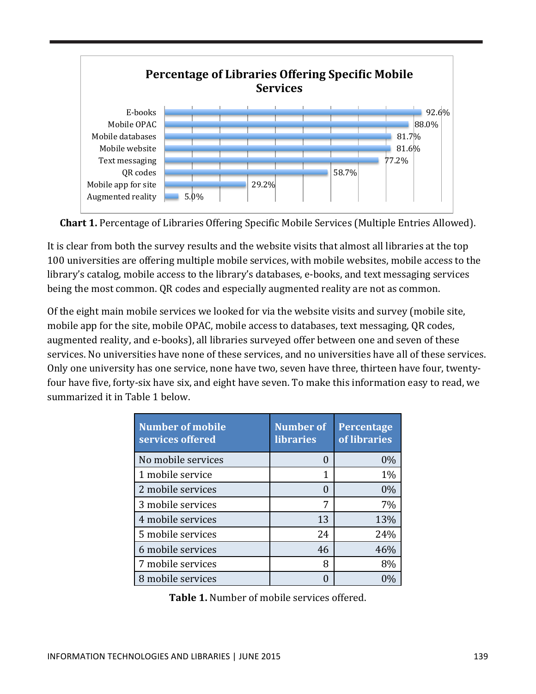

**Chart 1.** Percentage of Libraries Offering Specific Mobile Services (Multiple Entries Allowed).

It is clear from both the survey results and the website visits that almost all libraries at the top 100 universities are offering multiple mobile services, with mobile websites, mobile access to the library's catalog, mobile access to the library's databases, e-books, and text messaging services being the most common. QR codes and especially augmented reality are not as common.

Of the eight main mobile services we looked for via the website visits and survey (mobile site, mobile app for the site, mobile OPAC, mobile access to databases, text messaging, QR codes, augmented reality, and e-books), all libraries surveyed offer between one and seven of these services. No universities have none of these services, and no universities have all of these services. Only one university has one service, none have two, seven have three, thirteen have four, twentyfour have five, forty-six have six, and eight have seven. To make this information easy to read, we summarized it in Table 1 below.

| <b>Number of mobile</b><br>services offered | <b>Number of</b><br><b>libraries</b> | Percentage<br>of libraries |
|---------------------------------------------|--------------------------------------|----------------------------|
| No mobile services                          | $\mathbf{0}$                         | $0\%$                      |
| 1 mobile service                            | 1                                    | 1%                         |
| 2 mobile services                           | 0                                    | 0%                         |
| 3 mobile services                           | 7                                    | 7%                         |
| 4 mobile services                           | 13                                   | 13%                        |
| 5 mobile services                           | 24                                   | 24%                        |
| 6 mobile services                           | 46                                   | 46%                        |
| 7 mobile services                           | 8                                    | 8%                         |
| 8 mobile services                           |                                      | 0%                         |

**Table 1.** Number of mobile services offered.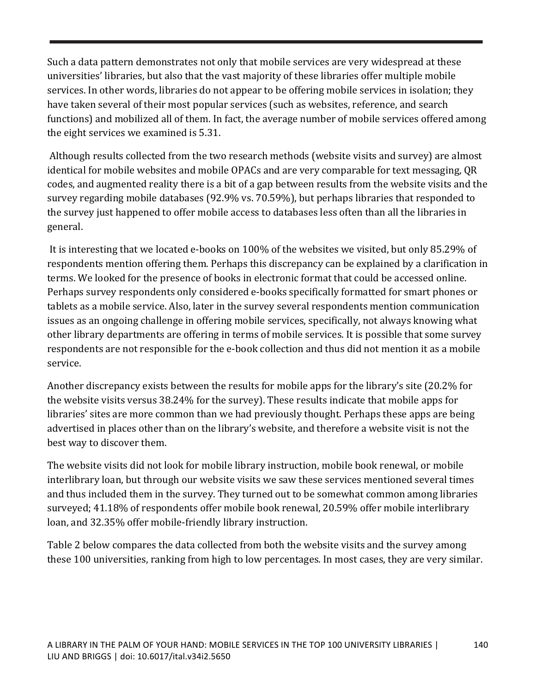Such a data pattern demonstrates not only that mobile services are very widespread at these universities' libraries, but also that the vast majority of these libraries offer multiple mobile services. In other words, libraries do not appear to be offering mobile services in isolation; they have taken several of their most popular services (such as websites, reference, and search functions) and mobilized all of them. In fact, the average number of mobile services offered among the eight services we examined is 5.31.

Although results collected from the two research methods (website visits and survey) are almost identical for mobile websites and mobile OPACs and are very comparable for text messaging, QR codes, and augmented reality there is a bit of a gap between results from the website visits and the survey regarding mobile databases (92.9% vs. 70.59%), but perhaps libraries that responded to the survey just happened to offer mobile access to databases less often than all the libraries in general. 

It is interesting that we located e-books on 100% of the websites we visited, but only 85.29% of respondents mention offering them. Perhaps this discrepancy can be explained by a clarification in terms. We looked for the presence of books in electronic format that could be accessed online. Perhaps survey respondents only considered e-books specifically formatted for smart phones or tablets as a mobile service. Also, later in the survey several respondents mention communication issues as an ongoing challenge in offering mobile services, specifically, not always knowing what other library departments are offering in terms of mobile services. It is possible that some survey respondents are not responsible for the e-book collection and thus did not mention it as a mobile service. 

Another discrepancy exists between the results for mobile apps for the library's site (20.2% for the website visits versus 38.24% for the survey). These results indicate that mobile apps for libraries' sites are more common than we had previously thought. Perhaps these apps are being advertised in places other than on the library's website, and therefore a website visit is not the best way to discover them.

The website visits did not look for mobile library instruction, mobile book renewal, or mobile interlibrary loan, but through our website visits we saw these services mentioned several times and thus included them in the survey. They turned out to be somewhat common among libraries surveyed; 41.18% of respondents offer mobile book renewal, 20.59% offer mobile interlibrary loan, and 32.35% offer mobile-friendly library instruction.

Table 2 below compares the data collected from both the website visits and the survey among these 100 universities, ranking from high to low percentages. In most cases, they are very similar.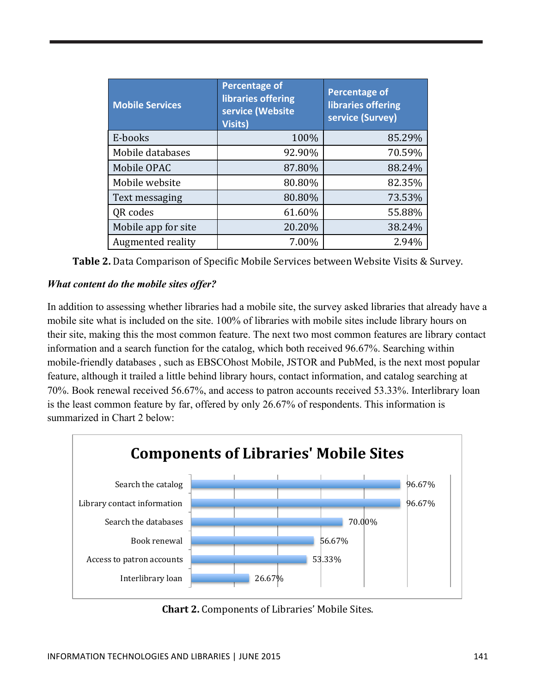| <b>Mobile Services</b> | <b>Percentage of</b><br>libraries offering<br>service (Website<br><b>Visits)</b> | <b>Percentage of</b><br>libraries offering<br>service (Survey) |
|------------------------|----------------------------------------------------------------------------------|----------------------------------------------------------------|
| E-books                | 100%                                                                             | 85.29%                                                         |
| Mobile databases       | 92.90%                                                                           | 70.59%                                                         |
| Mobile OPAC            | 87.80%                                                                           | 88.24%                                                         |
| Mobile website         | 80.80%                                                                           | 82.35%                                                         |
| Text messaging         | 80.80%                                                                           | 73.53%                                                         |
| QR codes               | 61.60%                                                                           | 55.88%                                                         |
| Mobile app for site    | 20.20%                                                                           | 38.24%                                                         |
| Augmented reality      | 7.00%                                                                            | 2.94%                                                          |

#### *What content do the mobile sites offer?*

In addition to assessing whether libraries had a mobile site, the survey asked libraries that already have a mobile site what is included on the site. 100% of libraries with mobile sites include library hours on their site, making this the most common feature. The next two most common features are library contact information and a search function for the catalog, which both received 96.67%. Searching within mobile-friendly databases , such as EBSCOhost Mobile, JSTOR and PubMed, is the next most popular feature, although it trailed a little behind library hours, contact information, and catalog searching at 70%. Book renewal received 56.67%, and access to patron accounts received 53.33%. Interlibrary loan is the least common feature by far, offered by only 26.67% of respondents. This information is summarized in Chart 2 below:



**Chart 2.** Components of Libraries' Mobile Sites.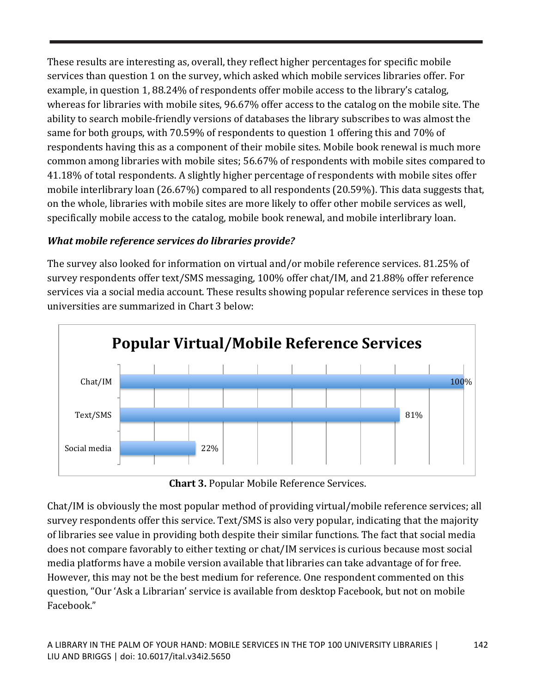These results are interesting as, overall, they reflect higher percentages for specific mobile services than question 1 on the survey, which asked which mobile services libraries offer. For example, in question 1, 88.24% of respondents offer mobile access to the library's catalog, whereas for libraries with mobile sites, 96.67% offer access to the catalog on the mobile site. The ability to search mobile-friendly versions of databases the library subscribes to was almost the same for both groups, with 70.59% of respondents to question 1 offering this and 70% of respondents having this as a component of their mobile sites. Mobile book renewal is much more common among libraries with mobile sites; 56.67% of respondents with mobile sites compared to 41.18% of total respondents. A slightly higher percentage of respondents with mobile sites offer mobile interlibrary loan  $(26.67%)$  compared to all respondents  $(20.59%)$ . This data suggests that, on the whole, libraries with mobile sites are more likely to offer other mobile services as well, specifically mobile access to the catalog, mobile book renewal, and mobile interlibrary loan.

# **What mobile reference services do libraries provide?**

The survey also looked for information on virtual and/or mobile reference services.  $81.25\%$  of survey respondents offer text/SMS messaging, 100% offer chat/IM, and 21.88% offer reference services via a social media account. These results showing popular reference services in these top universities are summarized in Chart 3 below:



#### **Chart 3.** Popular Mobile Reference Services.

Chat/IM is obviously the most popular method of providing virtual/mobile reference services; all survey respondents offer this service. Text/SMS is also very popular, indicating that the majority of libraries see value in providing both despite their similar functions. The fact that social media does not compare favorably to either texting or chat/IM services is curious because most social media platforms have a mobile version available that libraries can take advantage of for free. However, this may not be the best medium for reference. One respondent commented on this question, "Our 'Ask a Librarian' service is available from desktop Facebook, but not on mobile Facebook."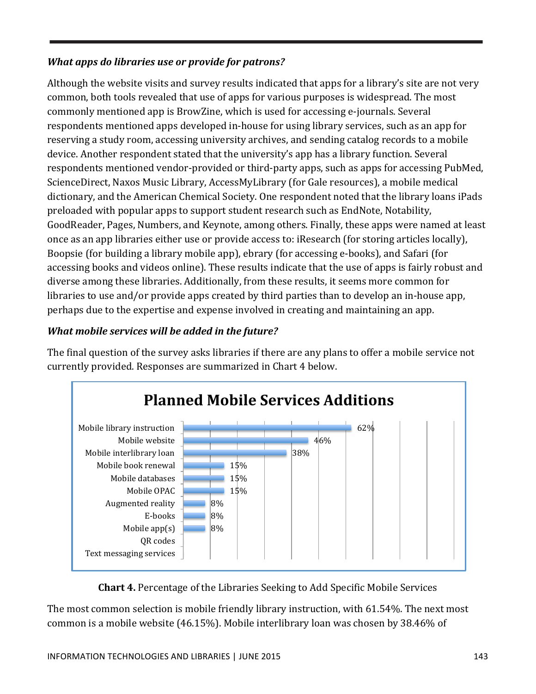# *What apps do libraries use or provide for patrons?*

Although the website visits and survey results indicated that apps for a library's site are not very common, both tools revealed that use of apps for various purposes is widespread. The most commonly mentioned app is BrowZine, which is used for accessing e-journals. Several respondents mentioned apps developed in-house for using library services, such as an app for reserving a study room, accessing university archives, and sending catalog records to a mobile device. Another respondent stated that the university's app has a library function. Several respondents mentioned vendor-provided or third-party apps, such as apps for accessing PubMed, ScienceDirect, Naxos Music Library, AccessMyLibrary (for Gale resources), a mobile medical dictionary, and the American Chemical Society. One respondent noted that the library loans iPads preloaded with popular apps to support student research such as EndNote, Notability, GoodReader, Pages, Numbers, and Keynote, among others. Finally, these apps were named at least once as an app libraries either use or provide access to: iResearch (for storing articles locally), Boopsie (for building a library mobile app), ebrary (for accessing e-books), and Safari (for accessing books and videos online). These results indicate that the use of apps is fairly robust and diverse among these libraries. Additionally, from these results, it seems more common for libraries to use and/or provide apps created by third parties than to develop an in-house app. perhaps due to the expertise and expense involved in creating and maintaining an app.

## **What mobile services will be added in the future?**

The final question of the survey asks libraries if there are any plans to offer a mobile service not currently provided. Responses are summarized in Chart 4 below.



**Chart 4.** Percentage of the Libraries Seeking to Add Specific Mobile Services

The most common selection is mobile friendly library instruction, with 61.54%. The next most common is a mobile website (46.15%). Mobile interlibrary loan was chosen by 38.46% of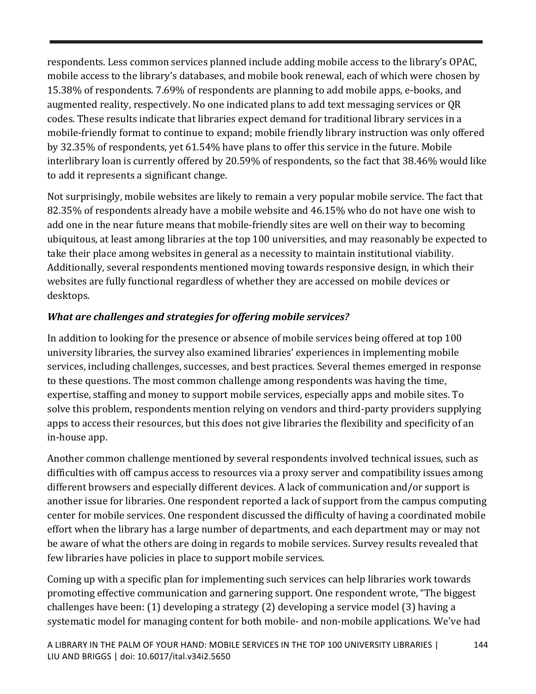respondents. Less common services planned include adding mobile access to the library's OPAC, mobile access to the library's databases, and mobile book renewal, each of which were chosen by 15.38% of respondents. 7.69% of respondents are planning to add mobile apps, e-books, and augmented reality, respectively. No one indicated plans to add text messaging services or QR codes. These results indicate that libraries expect demand for traditional library services in a mobile-friendly format to continue to expand; mobile friendly library instruction was only offered by 32.35% of respondents, yet 61.54% have plans to offer this service in the future. Mobile interlibrary loan is currently offered by 20.59% of respondents, so the fact that 38.46% would like to add it represents a significant change.

Not surprisingly, mobile websites are likely to remain a very popular mobile service. The fact that 82.35% of respondents already have a mobile website and 46.15% who do not have one wish to add one in the near future means that mobile-friendly sites are well on their way to becoming ubiquitous, at least among libraries at the top 100 universities, and may reasonably be expected to take their place among websites in general as a necessity to maintain institutional viability. Additionally, several respondents mentioned moving towards responsive design, in which their websites are fully functional regardless of whether they are accessed on mobile devices or desktops.

# **What are challenges and strategies for offering mobile services?**

In addition to looking for the presence or absence of mobile services being offered at top 100 university libraries, the survey also examined libraries' experiences in implementing mobile services, including challenges, successes, and best practices. Several themes emerged in response to these questions. The most common challenge among respondents was having the time, expertise, staffing and money to support mobile services, especially apps and mobile sites. To solve this problem, respondents mention relying on vendors and third-party providers supplying apps to access their resources, but this does not give libraries the flexibility and specificity of an in-house app.

Another common challenge mentioned by several respondents involved technical issues, such as difficulties with off campus access to resources via a proxy server and compatibility issues among different browsers and especially different devices. A lack of communication and/or support is another issue for libraries. One respondent reported a lack of support from the campus computing center for mobile services. One respondent discussed the difficulty of having a coordinated mobile effort when the library has a large number of departments, and each department may or may not be aware of what the others are doing in regards to mobile services. Survey results revealed that few libraries have policies in place to support mobile services.

Coming up with a specific plan for implementing such services can help libraries work towards promoting effective communication and garnering support. One respondent wrote, "The biggest challenges have been:  $(1)$  developing a strategy  $(2)$  developing a service model  $(3)$  having a systematic model for managing content for both mobile- and non-mobile applications. We've had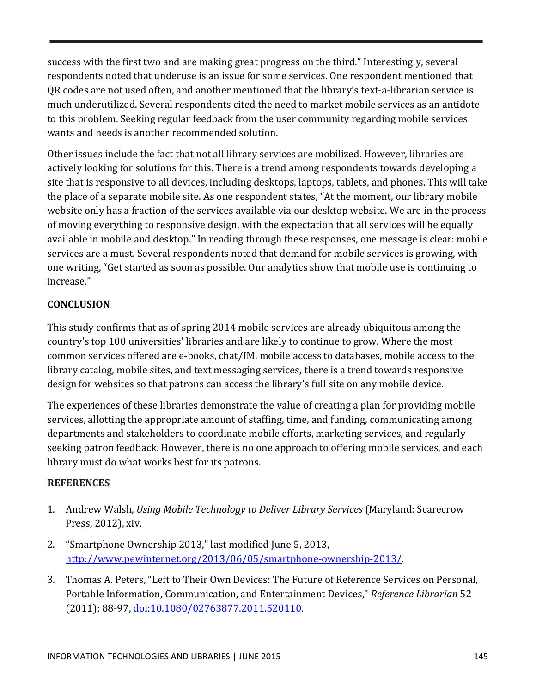success with the first two and are making great progress on the third." Interestingly, several respondents noted that underuse is an issue for some services. One respondent mentioned that QR codes are not used often, and another mentioned that the library's text-a-librarian service is much underutilized. Several respondents cited the need to market mobile services as an antidote to this problem. Seeking regular feedback from the user community regarding mobile services wants and needs is another recommended solution.

Other issues include the fact that not all library services are mobilized. However, libraries are actively looking for solutions for this. There is a trend among respondents towards developing a site that is responsive to all devices, including desktops, laptops, tablets, and phones. This will take the place of a separate mobile site. As one respondent states, "At the moment, our library mobile website only has a fraction of the services available via our desktop website. We are in the process of moving everything to responsive design, with the expectation that all services will be equally available in mobile and desktop." In reading through these responses, one message is clear: mobile services are a must. Several respondents noted that demand for mobile services is growing, with one writing, "Get started as soon as possible. Our analytics show that mobile use is continuing to increase."

#### **CONCLUSION**

This study confirms that as of spring 2014 mobile services are already ubiquitous among the country's top 100 universities' libraries and are likely to continue to grow. Where the most common services offered are e-books, chat/IM, mobile access to databases, mobile access to the library catalog, mobile sites, and text messaging services, there is a trend towards responsive design for websites so that patrons can access the library's full site on any mobile device.

The experiences of these libraries demonstrate the value of creating a plan for providing mobile services, allotting the appropriate amount of staffing, time, and funding, communicating among departments and stakeholders to coordinate mobile efforts, marketing services, and regularly seeking patron feedback. However, there is no one approach to offering mobile services, and each library must do what works best for its patrons.

#### **REFERENCES**

- 1. Andrew Walsh, *Using Mobile Technology to Deliver Library Services* (Maryland: Scarecrow Press, 2012), xiv.
- 2. "Smartphone Ownership 2013," last modified June 5, 2013, http://www.pewinternet.org/2013/06/05/smartphone-ownership-2013/.
- 3. Thomas A. Peters, "Left to Their Own Devices: The Future of Reference Services on Personal, Portable Information, Communication, and Entertainment Devices," Reference Librarian 52 (2011): 88-97, doi:10.1080/02763877.2011.520110.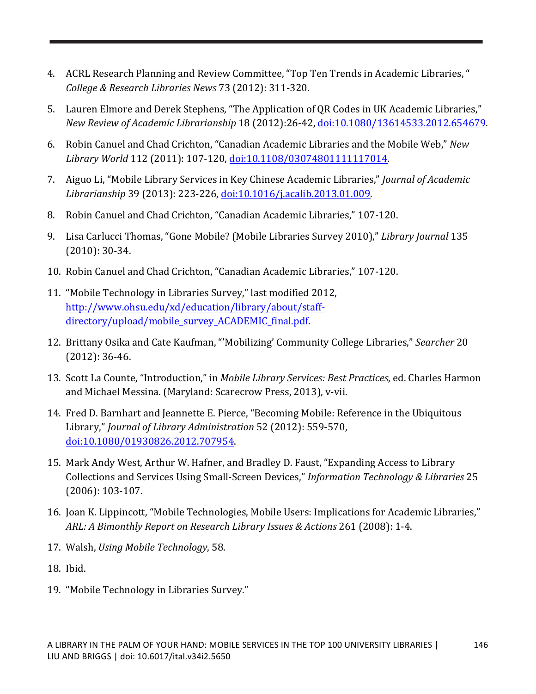- 4. ACRL Research Planning and Review Committee, "Top Ten Trends in Academic Libraries, " *College & Research Libraries News* 73 (2012): 311-320.
- 5. Lauren Elmore and Derek Stephens, "The Application of QR Codes in UK Academic Libraries," *New Review of Academic Librarianship* 18 (2012):26-42, doi:10.1080/13614533.2012.654679.
- 6. Robin Canuel and Chad Crichton, "Canadian Academic Libraries and the Mobile Web," New Library World 112 (2011): 107-120, doi:10.1108/03074801111117014.
- 7. Aiguo Li, "Mobile Library Services in Key Chinese Academic Libraries," *Journal of Academic Librarianship* 39 (2013): 223-226, doi:10.1016/j.acalib.2013.01.009.
- 8. Robin Canuel and Chad Crichton, "Canadian Academic Libraries," 107-120.
- 9. Lisa Carlucci Thomas, "Gone Mobile? (Mobile Libraries Survey 2010)," *Library Journal* 135  $(2010): 30-34.$
- 10. Robin Canuel and Chad Crichton, "Canadian Academic Libraries," 107-120.
- 11. "Mobile Technology in Libraries Survey," last modified 2012, http://www.ohsu.edu/xd/education/library/about/staffdirectory/upload/mobile\_survey\_ACADEMIC\_final.pdf.
- 12. Brittany Osika and Cate Kaufman, "'Mobilizing' Community College Libraries," Searcher 20  $(2012): 36-46.$
- 13. Scott La Counte, "Introduction," in *Mobile Library Services: Best Practices*, ed. Charles Harmon and Michael Messina. (Maryland: Scarecrow Press, 2013), v-vii.
- 14. Fred D. Barnhart and Jeannette E. Pierce, "Becoming Mobile: Reference in the Ubiquitous Library," *Journal of Library Administration* 52 (2012): 559-570, doi:10.1080/01930826.2012.707954.
- 15. Mark Andy West, Arthur W. Hafner, and Bradley D. Faust, "Expanding Access to Library Collections and Services Using Small-Screen Devices," *Information Technology & Libraries* 25  $(2006): 103-107.$
- 16. Joan K. Lippincott, "Mobile Technologies, Mobile Users: Implications for Academic Libraries," *ARL: A Bimonthly Report on Research Library Issues & Actions* 261 (2008): 1-4.
- 17. Walsh, *Using Mobile Technology*, 58.
- 18. Ibid.
- 19. "Mobile Technology in Libraries Survey."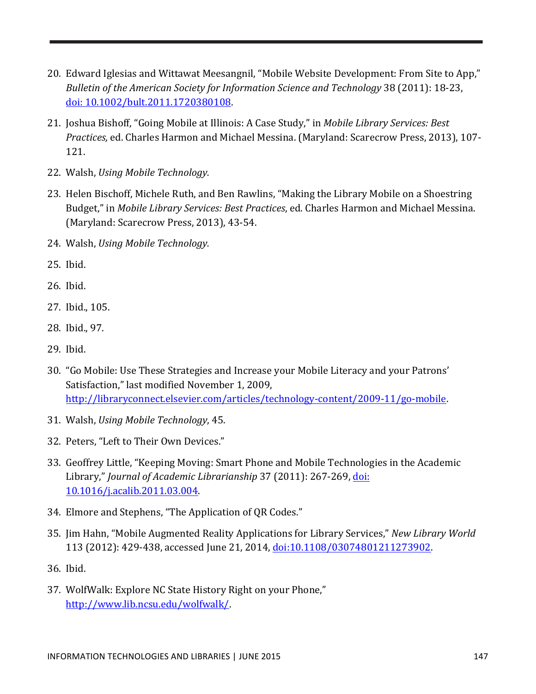- 20. Edward Iglesias and Wittawat Meesangnil, "Mobile Website Development: From Site to App," *Bulletin of the American Society for Information Science and Technology* 38 (2011): 18-23, doi: 10.1002/bult.2011.1720380108.
- 21. Joshua Bishoff, "Going Mobile at Illinois: A Case Study," in *Mobile Library Services: Best Practices, ed. Charles Harmon and Michael Messina. (Maryland: Scarecrow Press, 2013), 107-*121.
- 22. Walsh, *Using Mobile Technology.*
- 23. Helen Bischoff, Michele Ruth, and Ben Rawlins, "Making the Library Mobile on a Shoestring Budget," in *Mobile Library Services: Best Practices*, ed. Charles Harmon and Michael Messina. (Maryland: Scarecrow Press, 2013), 43-54.
- 24. Walsh, *Using Mobile Technology*.
- 25. Ibid.
- 26. Ibid.
- 27. Ibid., 105.
- 28. Ibid., 97.
- 29. Ibid.
- 30. "Go Mobile: Use These Strategies and Increase your Mobile Literacy and your Patrons' Satisfaction," last modified November 1, 2009, http://libraryconnect.elsevier.com/articles/technology-content/2009-11/go-mobile.
- 31. Walsh, *Using Mobile Technology*, 45.
- 32. Peters, "Left to Their Own Devices."
- 33. Geoffrey Little, "Keeping Moving: Smart Phone and Mobile Technologies in the Academic Library," Journal of Academic Librarianship 37 (2011): 267-269, doi: 10.1016/j.acalib.2011.03.004.
- 34. Elmore and Stephens, "The Application of QR Codes."
- 35. Jim Hahn, "Mobile Augmented Reality Applications for Library Services," *New Library World* 113 (2012): 429-438, accessed June 21, 2014, doi:10.1108/03074801211273902.
- 36. Ibid.
- 37. WolfWalk: Explore NC State History Right on your Phone," http://www.lib.ncsu.edu/wolfwalk/.